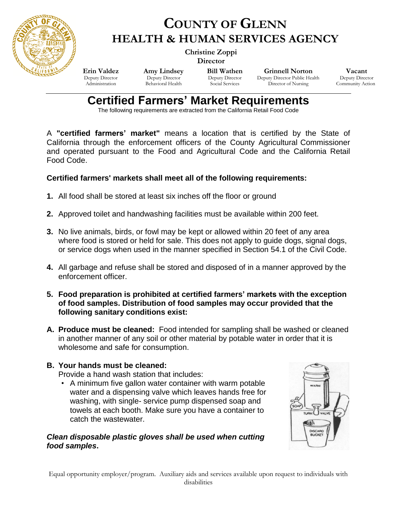

# **COUNTY OF GLENN HEALTH & HUMAN SERVICES AGENCY**

 **Christine Zoppi Director**

**Erin Valdez** Deputy Director Administration

**Amy Lindsey** Deputy Director Behavioral Health

**Bill Wathen** Deputy Director Social Services

**Grinnell Norton** Deputy Director Public Health Director of Nursing

**Vacant** Deputy Director Community Action

# **Certified Farmers' Market Requirements**

The following requirements are extracted from the California Retail Food Code

A **"certified farmers' market"** means a location that is certified by the State of California through the enforcement officers of the County Agricultural Commissioner and operated pursuant to the Food and Agricultural Code and the California Retail Food Code.

# **Certified farmers' markets shall meet all of the following requirements:**

- **1.** All food shall be stored at least six inches off the floor or ground
- **2.** Approved toilet and handwashing facilities must be available within 200 feet.
- **3.** No live animals, birds, or fowl may be kept or allowed within 20 feet of any area where food is stored or held for sale. This does not apply to guide dogs, signal dogs, or service dogs when used in the manner specified in Section 54.1 of the Civil Code.
- **4.** All garbage and refuse shall be stored and disposed of in a manner approved by the enforcement officer.
- **5. Food preparation is prohibited at certified farmers' markets with the exception of food samples. Distribution of food samples may occur provided that the following sanitary conditions exist:**
- **A. Produce must be cleaned:** Food intended for sampling shall be washed or cleaned in another manner of any soil or other material by potable water in order that it is wholesome and safe for consumption.

# **B. Your hands must be cleaned:**

Provide a hand wash station that includes:

• A minimum five gallon water container with warm potable water and a dispensing valve which leaves hands free for washing, with single- service pump dispensed soap and towels at each booth. Make sure you have a container to catch the wastewater.

#### *Clean disposable plastic gloves shall be used when cutting food samples***.**



Equal opportunity employer/program. Auxiliary aids and services available upon request to individuals with disabilities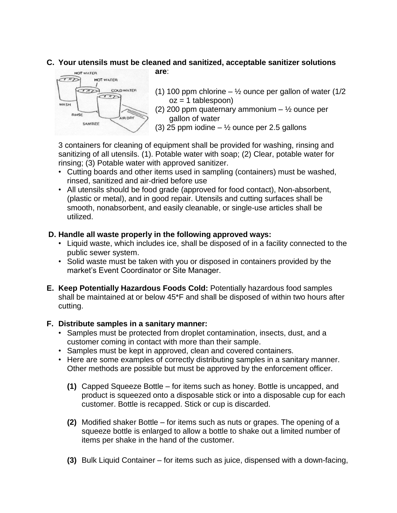# **C. Your utensils must be cleaned and sanitized, acceptable sanitizer solutions**



- **are**:
	- (1) 100 ppm chlorine  $\frac{1}{2}$  ounce per gallon of water (1/2)  $oz = 1$  tablespoon)
	- (2) 200 ppm quaternary ammonium  $\frac{1}{2}$  ounce per gallon of water
	- (3) 25 ppm iodine  $\frac{1}{2}$  ounce per 2.5 gallons

3 containers for cleaning of equipment shall be provided for washing, rinsing and sanitizing of all utensils. (1). Potable water with soap; (2) Clear, potable water for rinsing; (3) Potable water with approved sanitizer.

- Cutting boards and other items used in sampling (containers) must be washed, rinsed, sanitized and air-dried before use
- All utensils should be food grade (approved for food contact), Non-absorbent, (plastic or metal), and in good repair. Utensils and cutting surfaces shall be smooth, nonabsorbent, and easily cleanable, or single-use articles shall be utilized.

#### **D. Handle all waste properly in the following approved ways:**

- Liquid waste, which includes ice, shall be disposed of in a facility connected to the public sewer system.
- Solid waste must be taken with you or disposed in containers provided by the market's Event Coordinator or Site Manager.
- **E. Keep Potentially Hazardous Foods Cold:** Potentially hazardous food samples shall be maintained at or below 45\*F and shall be disposed of within two hours after cutting.

# **F. Distribute samples in a sanitary manner:**

- Samples must be protected from droplet contamination, insects, dust, and a customer coming in contact with more than their sample.
- Samples must be kept in approved, clean and covered containers.
- Here are some examples of correctly distributing samples in a sanitary manner. Other methods are possible but must be approved by the enforcement officer.
	- **(1)** Capped Squeeze Bottle for items such as honey. Bottle is uncapped, and product is squeezed onto a disposable stick or into a disposable cup for each customer. Bottle is recapped. Stick or cup is discarded.
	- **(2)** Modified shaker Bottle for items such as nuts or grapes. The opening of a squeeze bottle is enlarged to allow a bottle to shake out a limited number of items per shake in the hand of the customer.
	- **(3)** Bulk Liquid Container for items such as juice, dispensed with a down-facing,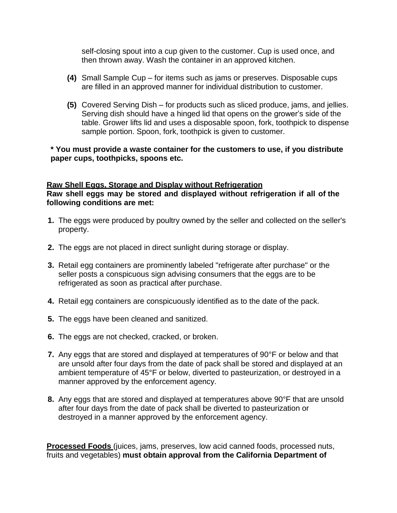self-closing spout into a cup given to the customer. Cup is used once, and then thrown away. Wash the container in an approved kitchen.

- **(4)** Small Sample Cup for items such as jams or preserves. Disposable cups are filled in an approved manner for individual distribution to customer.
- **(5)** Covered Serving Dish for products such as sliced produce, jams, and jellies. Serving dish should have a hinged lid that opens on the grower's side of the table. Grower lifts lid and uses a disposable spoon, fork, toothpick to dispense sample portion. Spoon, fork, toothpick is given to customer.

#### **\* You must provide a waste container for the customers to use, if you distribute paper cups, toothpicks, spoons etc.**

#### **Raw Shell Eggs, Storage and Display without Refrigeration Raw shell eggs may be stored and displayed without refrigeration if all of the following conditions are met:**

- **1.** The eggs were produced by poultry owned by the seller and collected on the seller's property.
- **2.** The eggs are not placed in direct sunlight during storage or display.
- **3.** Retail egg containers are prominently labeled "refrigerate after purchase" or the seller posts a conspicuous sign advising consumers that the eggs are to be refrigerated as soon as practical after purchase.
- **4.** Retail egg containers are conspicuously identified as to the date of the pack.
- **5.** The eggs have been cleaned and sanitized.
- **6.** The eggs are not checked, cracked, or broken.
- **7.** Any eggs that are stored and displayed at temperatures of 90°F or below and that are unsold after four days from the date of pack shall be stored and displayed at an ambient temperature of 45°F or below, diverted to pasteurization, or destroyed in a manner approved by the enforcement agency.
- **8.** Any eggs that are stored and displayed at temperatures above 90°F that are unsold after four days from the date of pack shall be diverted to pasteurization or destroyed in a manner approved by the enforcement agency.

**Processed Foods** (juices, jams, preserves, low acid canned foods, processed nuts, fruits and vegetables) **must obtain approval from the California Department of**